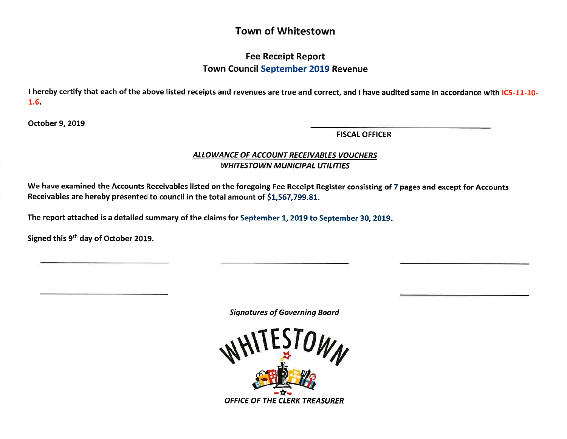## Town of Whitestown

## Fee Receipt Report Town Council September 2019 Revenue

I hereby certify that each of the above listed receipts and revenues are true and correct, and I have audited same in accordance with IC5-11-10-1.6.

October 9, 2019

FISCAL OFFICER

## ALLOWANCE OF ACCOUNT RECEIVABLES VOUCHERS WHITESTOWN MUNICIPAL UTILITIES

We have examined the Accounts Receivables listed on the foregoing Fee Receipt Register consisting of 7 pages and except for Accounts Receivables are hereby presented to council in the total amount of 51,567,799.8L.

The report attached is a detailed summary of the claims for September 1, 2O19 to September 30, 2019.

Signed this 9<sup>th</sup> day of October 2019.

Signatures of Governing Board

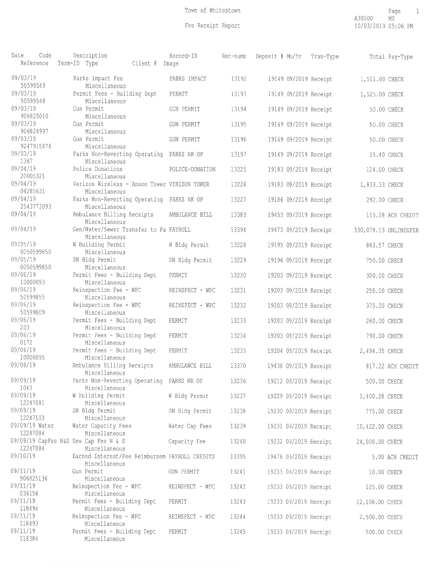| 09/03/19<br>Parks Impact Fee<br>PARKS IMPACT<br>13192<br>19149 09/2019 Receipt<br>1,511.00 CHECK<br>50599549<br>Miscellaneous<br>09/03/19<br>Permit Fees - Building Dept<br>PERMIT<br>13193<br>19149 09/2019 Receipt<br>1,525.00 CHECK<br>50599548<br>Miscellaneous<br>09/03/19<br>Gun Permit<br><b>GUN PERMIT</b><br>13194<br>19149 09/2019 Receipt<br>50.00 CHECK<br>906825010<br>Miscellaneous<br>09/03/19<br>Gun Permit<br><b>GUN PERMIT</b><br>13195<br>19149 09/2019 Receipt<br>50.00 CHECK<br>906824997<br>Miscellaneous<br>09/03/19<br>Gun Permit<br><b>GUN PERMIT</b><br>13196<br>19149 09/2019 Receipt<br>50.00 CHECK<br>9247915676<br>Miscellaneous<br>09/03/19<br>Parks Non-Reverting Operating<br>PARKS NR OP<br>13197<br>19149 09/2019 Receipt<br>15.40 CHECK<br>1367<br>Miscellaneous<br>09/04/19<br>Police Donations<br>POLICE-DONATION<br>13225<br>19183 09/2019 Receipt<br>124.00 CHECK<br>20005321<br>Miscellaneous<br>09/04/19<br>Verizon Wireless - Anson Tower VERIZON TOWER<br>13226<br>19183 09/2019 Receipt<br>1,833.33 CHECK<br>04285631<br>Miscellaneous<br>09/04/19<br>Parks Non-Reverting Operating PARKS NR OP<br>13227<br>19186 09/2019 Receipt<br>292.00 CHECK<br>2543773093<br>Miscellaneous<br>09/04/19<br>Ambulance Billing Receipts<br>AMBULANCE BILL<br>13383<br>19453 09/2019 Receipt<br>115.28 ACH CREDIT<br>Miscellaneous<br>09/04/19<br>Gen/Water/Sewer Transfer to Pa PAYROLL<br>13394<br>19473 09/2019 Receipt<br>330,078.13 ONLINEXFER<br>Miscellaneous<br>09/05/19<br>W Building Permit<br>W Bldg Permit<br>13228<br>19195 09/2019 Receipt<br>863.57 CHECK<br>0050599850<br>Miscellaneous<br>09/05/19<br>SN Bldg Permit<br>13229<br>SN Bldg Permit<br>19196 09/2019 Receipt<br>750.00 CHECK<br>0050599850<br>Miscellaneous<br>09/06/19<br>Permit Fees - Building Dept<br>PERMIT<br>13230<br>19203 09/2019 Receipt<br>300.00 CHECK<br>10000093<br>Miscellaneous<br>09/06/19<br>Reinspection Fee - WPC<br>REINSPECT - WPC<br>13231<br>19203 09/2019 Receipt<br>250.00 CHECK<br>50599855<br>Miscellaneous<br>09/06/19<br>Reinspection Fee - WPC<br>REINSPECT - WPC<br>13232<br>19203 09/2019 Receipt<br>375.00 CHECK<br>50599809<br>Miscellaneous<br>09/06/19<br>Permit Fees - Building Dept<br>13233<br>PERMIT<br>19203 09/2019 Receipt<br>260.00 CHECK<br>203<br>Miscellaneous<br>09/06/19<br>Permit Fees - Building Dept<br>PERMIT<br>13234<br>19203 09/2019 Receipt<br>790.00 CHECK<br>0172<br>Miscellaneous<br>09/06/19<br>Permit Fees - Building Dept<br>PERMIT<br>13235<br>19204 09/2019 Receipt<br>2,494.35 CHECK<br>10000095<br>Miscellaneous<br>09/06/19<br>Ambulance Billing Receipts<br>AMBULANCE BILL<br>13370<br>19438 09/2019 Receipt<br>817.22 ACH CREDIT<br>Miscellaneous<br>09/09/19<br>Parks Non-Reverting Operating PARKS NR OP<br>13236<br>19212 09/2019 Receipt<br>500.00 CHECK<br>1043<br>Miscellaneous<br>09/09/19<br>W Building Permit<br>W Bldg Permit<br>13237<br>19229 09/2019 Receipt<br>1,400.28 CHECK<br>12247081<br>Miscellaneous<br>09/09/19<br>SN Bldg Permit<br>SN Bldg Permit<br>13238<br>19230 09/2019 Receipt<br>775.00 CHECK<br>12247103<br>Miscellaneous<br>09/09/19 Water<br>Water Capacity Fees<br>13239<br>Water Cap Fees<br>19231 09/2019 Receipt<br>10,422.00 CHECK<br>12247084<br>Miscellaneous<br>09/09/19 CapFee N&S Sew Cap Fee N & S<br>13240<br>Capacity Fee<br>19232 09/2019 Receipt<br>24,000.00 CHECK<br>12247084<br>Miscellaneous<br>09/10/19<br>Earned Interest/Fee Reimbursem PAYROLL CREDITS<br>13395<br>19476 09/2019 Receipt<br>5.00 ACH CREDIT<br>Miscellaneous<br>09/11/19<br>Gun Permit<br>GUN PERMIT<br>13241<br>19233 09/2019 Receipt<br>10.00 CHECK<br>906825136<br>Miscellaneous<br>09/11/19<br>Reinspection Fee - WPC<br>13242<br>REINSPECT - WPC<br>19233 09/2019 Receipt<br>125.00 CHECK<br>036156<br>Miscellaneous<br>09/11/19<br>Permit Fees - Building Dept<br>PERMIT<br>13243<br>19233 09/2019 Receipt<br>12,106.00 CHECK<br>118494<br>Miscellaneous<br>09/11/19<br>Reinspection Fee - WPC<br>13244<br>REINSPECT - WPC<br>19233 09/2019 Receipt<br>2,500.00 CHECK<br>118493<br>Miscellaneous<br>09/11/19<br>Permit Fees - Building Dept<br>13245<br>PERMIT<br>19233 09/2019 Receipt<br>500.00 CHECK | Code<br>Date<br>Reference | Description<br>Term-ID Type<br>Client # | Record-ID<br>Image | Rec-numb | Deposit # Mo/Yr | Tran-Type | Total Pay-Type |
|-------------------------------------------------------------------------------------------------------------------------------------------------------------------------------------------------------------------------------------------------------------------------------------------------------------------------------------------------------------------------------------------------------------------------------------------------------------------------------------------------------------------------------------------------------------------------------------------------------------------------------------------------------------------------------------------------------------------------------------------------------------------------------------------------------------------------------------------------------------------------------------------------------------------------------------------------------------------------------------------------------------------------------------------------------------------------------------------------------------------------------------------------------------------------------------------------------------------------------------------------------------------------------------------------------------------------------------------------------------------------------------------------------------------------------------------------------------------------------------------------------------------------------------------------------------------------------------------------------------------------------------------------------------------------------------------------------------------------------------------------------------------------------------------------------------------------------------------------------------------------------------------------------------------------------------------------------------------------------------------------------------------------------------------------------------------------------------------------------------------------------------------------------------------------------------------------------------------------------------------------------------------------------------------------------------------------------------------------------------------------------------------------------------------------------------------------------------------------------------------------------------------------------------------------------------------------------------------------------------------------------------------------------------------------------------------------------------------------------------------------------------------------------------------------------------------------------------------------------------------------------------------------------------------------------------------------------------------------------------------------------------------------------------------------------------------------------------------------------------------------------------------------------------------------------------------------------------------------------------------------------------------------------------------------------------------------------------------------------------------------------------------------------------------------------------------------------------------------------------------------------------------------------------------------------------------------------------------------------------------------------------------------------------------------------------------------------------------------------------------------------------------------------------------------------------------------------------------------------------------------------------------------------------------------------------------------------------------------------------------------------------------------------------------------------------------------------------------------------------------------------------------------------------------------------------------------------------------------|---------------------------|-----------------------------------------|--------------------|----------|-----------------|-----------|----------------|
|                                                                                                                                                                                                                                                                                                                                                                                                                                                                                                                                                                                                                                                                                                                                                                                                                                                                                                                                                                                                                                                                                                                                                                                                                                                                                                                                                                                                                                                                                                                                                                                                                                                                                                                                                                                                                                                                                                                                                                                                                                                                                                                                                                                                                                                                                                                                                                                                                                                                                                                                                                                                                                                                                                                                                                                                                                                                                                                                                                                                                                                                                                                                                                                                                                                                                                                                                                                                                                                                                                                                                                                                                                                                                                                                                                                                                                                                                                                                                                                                                                                                                                                                                                                                                         |                           |                                         |                    |          |                 |           |                |
|                                                                                                                                                                                                                                                                                                                                                                                                                                                                                                                                                                                                                                                                                                                                                                                                                                                                                                                                                                                                                                                                                                                                                                                                                                                                                                                                                                                                                                                                                                                                                                                                                                                                                                                                                                                                                                                                                                                                                                                                                                                                                                                                                                                                                                                                                                                                                                                                                                                                                                                                                                                                                                                                                                                                                                                                                                                                                                                                                                                                                                                                                                                                                                                                                                                                                                                                                                                                                                                                                                                                                                                                                                                                                                                                                                                                                                                                                                                                                                                                                                                                                                                                                                                                                         |                           |                                         |                    |          |                 |           |                |
|                                                                                                                                                                                                                                                                                                                                                                                                                                                                                                                                                                                                                                                                                                                                                                                                                                                                                                                                                                                                                                                                                                                                                                                                                                                                                                                                                                                                                                                                                                                                                                                                                                                                                                                                                                                                                                                                                                                                                                                                                                                                                                                                                                                                                                                                                                                                                                                                                                                                                                                                                                                                                                                                                                                                                                                                                                                                                                                                                                                                                                                                                                                                                                                                                                                                                                                                                                                                                                                                                                                                                                                                                                                                                                                                                                                                                                                                                                                                                                                                                                                                                                                                                                                                                         |                           |                                         |                    |          |                 |           |                |
|                                                                                                                                                                                                                                                                                                                                                                                                                                                                                                                                                                                                                                                                                                                                                                                                                                                                                                                                                                                                                                                                                                                                                                                                                                                                                                                                                                                                                                                                                                                                                                                                                                                                                                                                                                                                                                                                                                                                                                                                                                                                                                                                                                                                                                                                                                                                                                                                                                                                                                                                                                                                                                                                                                                                                                                                                                                                                                                                                                                                                                                                                                                                                                                                                                                                                                                                                                                                                                                                                                                                                                                                                                                                                                                                                                                                                                                                                                                                                                                                                                                                                                                                                                                                                         |                           |                                         |                    |          |                 |           |                |
|                                                                                                                                                                                                                                                                                                                                                                                                                                                                                                                                                                                                                                                                                                                                                                                                                                                                                                                                                                                                                                                                                                                                                                                                                                                                                                                                                                                                                                                                                                                                                                                                                                                                                                                                                                                                                                                                                                                                                                                                                                                                                                                                                                                                                                                                                                                                                                                                                                                                                                                                                                                                                                                                                                                                                                                                                                                                                                                                                                                                                                                                                                                                                                                                                                                                                                                                                                                                                                                                                                                                                                                                                                                                                                                                                                                                                                                                                                                                                                                                                                                                                                                                                                                                                         |                           |                                         |                    |          |                 |           |                |
|                                                                                                                                                                                                                                                                                                                                                                                                                                                                                                                                                                                                                                                                                                                                                                                                                                                                                                                                                                                                                                                                                                                                                                                                                                                                                                                                                                                                                                                                                                                                                                                                                                                                                                                                                                                                                                                                                                                                                                                                                                                                                                                                                                                                                                                                                                                                                                                                                                                                                                                                                                                                                                                                                                                                                                                                                                                                                                                                                                                                                                                                                                                                                                                                                                                                                                                                                                                                                                                                                                                                                                                                                                                                                                                                                                                                                                                                                                                                                                                                                                                                                                                                                                                                                         |                           |                                         |                    |          |                 |           |                |
|                                                                                                                                                                                                                                                                                                                                                                                                                                                                                                                                                                                                                                                                                                                                                                                                                                                                                                                                                                                                                                                                                                                                                                                                                                                                                                                                                                                                                                                                                                                                                                                                                                                                                                                                                                                                                                                                                                                                                                                                                                                                                                                                                                                                                                                                                                                                                                                                                                                                                                                                                                                                                                                                                                                                                                                                                                                                                                                                                                                                                                                                                                                                                                                                                                                                                                                                                                                                                                                                                                                                                                                                                                                                                                                                                                                                                                                                                                                                                                                                                                                                                                                                                                                                                         |                           |                                         |                    |          |                 |           |                |
|                                                                                                                                                                                                                                                                                                                                                                                                                                                                                                                                                                                                                                                                                                                                                                                                                                                                                                                                                                                                                                                                                                                                                                                                                                                                                                                                                                                                                                                                                                                                                                                                                                                                                                                                                                                                                                                                                                                                                                                                                                                                                                                                                                                                                                                                                                                                                                                                                                                                                                                                                                                                                                                                                                                                                                                                                                                                                                                                                                                                                                                                                                                                                                                                                                                                                                                                                                                                                                                                                                                                                                                                                                                                                                                                                                                                                                                                                                                                                                                                                                                                                                                                                                                                                         |                           |                                         |                    |          |                 |           |                |
|                                                                                                                                                                                                                                                                                                                                                                                                                                                                                                                                                                                                                                                                                                                                                                                                                                                                                                                                                                                                                                                                                                                                                                                                                                                                                                                                                                                                                                                                                                                                                                                                                                                                                                                                                                                                                                                                                                                                                                                                                                                                                                                                                                                                                                                                                                                                                                                                                                                                                                                                                                                                                                                                                                                                                                                                                                                                                                                                                                                                                                                                                                                                                                                                                                                                                                                                                                                                                                                                                                                                                                                                                                                                                                                                                                                                                                                                                                                                                                                                                                                                                                                                                                                                                         |                           |                                         |                    |          |                 |           |                |
|                                                                                                                                                                                                                                                                                                                                                                                                                                                                                                                                                                                                                                                                                                                                                                                                                                                                                                                                                                                                                                                                                                                                                                                                                                                                                                                                                                                                                                                                                                                                                                                                                                                                                                                                                                                                                                                                                                                                                                                                                                                                                                                                                                                                                                                                                                                                                                                                                                                                                                                                                                                                                                                                                                                                                                                                                                                                                                                                                                                                                                                                                                                                                                                                                                                                                                                                                                                                                                                                                                                                                                                                                                                                                                                                                                                                                                                                                                                                                                                                                                                                                                                                                                                                                         |                           |                                         |                    |          |                 |           |                |
|                                                                                                                                                                                                                                                                                                                                                                                                                                                                                                                                                                                                                                                                                                                                                                                                                                                                                                                                                                                                                                                                                                                                                                                                                                                                                                                                                                                                                                                                                                                                                                                                                                                                                                                                                                                                                                                                                                                                                                                                                                                                                                                                                                                                                                                                                                                                                                                                                                                                                                                                                                                                                                                                                                                                                                                                                                                                                                                                                                                                                                                                                                                                                                                                                                                                                                                                                                                                                                                                                                                                                                                                                                                                                                                                                                                                                                                                                                                                                                                                                                                                                                                                                                                                                         |                           |                                         |                    |          |                 |           |                |
|                                                                                                                                                                                                                                                                                                                                                                                                                                                                                                                                                                                                                                                                                                                                                                                                                                                                                                                                                                                                                                                                                                                                                                                                                                                                                                                                                                                                                                                                                                                                                                                                                                                                                                                                                                                                                                                                                                                                                                                                                                                                                                                                                                                                                                                                                                                                                                                                                                                                                                                                                                                                                                                                                                                                                                                                                                                                                                                                                                                                                                                                                                                                                                                                                                                                                                                                                                                                                                                                                                                                                                                                                                                                                                                                                                                                                                                                                                                                                                                                                                                                                                                                                                                                                         |                           |                                         |                    |          |                 |           |                |
|                                                                                                                                                                                                                                                                                                                                                                                                                                                                                                                                                                                                                                                                                                                                                                                                                                                                                                                                                                                                                                                                                                                                                                                                                                                                                                                                                                                                                                                                                                                                                                                                                                                                                                                                                                                                                                                                                                                                                                                                                                                                                                                                                                                                                                                                                                                                                                                                                                                                                                                                                                                                                                                                                                                                                                                                                                                                                                                                                                                                                                                                                                                                                                                                                                                                                                                                                                                                                                                                                                                                                                                                                                                                                                                                                                                                                                                                                                                                                                                                                                                                                                                                                                                                                         |                           |                                         |                    |          |                 |           |                |
|                                                                                                                                                                                                                                                                                                                                                                                                                                                                                                                                                                                                                                                                                                                                                                                                                                                                                                                                                                                                                                                                                                                                                                                                                                                                                                                                                                                                                                                                                                                                                                                                                                                                                                                                                                                                                                                                                                                                                                                                                                                                                                                                                                                                                                                                                                                                                                                                                                                                                                                                                                                                                                                                                                                                                                                                                                                                                                                                                                                                                                                                                                                                                                                                                                                                                                                                                                                                                                                                                                                                                                                                                                                                                                                                                                                                                                                                                                                                                                                                                                                                                                                                                                                                                         |                           |                                         |                    |          |                 |           |                |
|                                                                                                                                                                                                                                                                                                                                                                                                                                                                                                                                                                                                                                                                                                                                                                                                                                                                                                                                                                                                                                                                                                                                                                                                                                                                                                                                                                                                                                                                                                                                                                                                                                                                                                                                                                                                                                                                                                                                                                                                                                                                                                                                                                                                                                                                                                                                                                                                                                                                                                                                                                                                                                                                                                                                                                                                                                                                                                                                                                                                                                                                                                                                                                                                                                                                                                                                                                                                                                                                                                                                                                                                                                                                                                                                                                                                                                                                                                                                                                                                                                                                                                                                                                                                                         |                           |                                         |                    |          |                 |           |                |
|                                                                                                                                                                                                                                                                                                                                                                                                                                                                                                                                                                                                                                                                                                                                                                                                                                                                                                                                                                                                                                                                                                                                                                                                                                                                                                                                                                                                                                                                                                                                                                                                                                                                                                                                                                                                                                                                                                                                                                                                                                                                                                                                                                                                                                                                                                                                                                                                                                                                                                                                                                                                                                                                                                                                                                                                                                                                                                                                                                                                                                                                                                                                                                                                                                                                                                                                                                                                                                                                                                                                                                                                                                                                                                                                                                                                                                                                                                                                                                                                                                                                                                                                                                                                                         |                           |                                         |                    |          |                 |           |                |
|                                                                                                                                                                                                                                                                                                                                                                                                                                                                                                                                                                                                                                                                                                                                                                                                                                                                                                                                                                                                                                                                                                                                                                                                                                                                                                                                                                                                                                                                                                                                                                                                                                                                                                                                                                                                                                                                                                                                                                                                                                                                                                                                                                                                                                                                                                                                                                                                                                                                                                                                                                                                                                                                                                                                                                                                                                                                                                                                                                                                                                                                                                                                                                                                                                                                                                                                                                                                                                                                                                                                                                                                                                                                                                                                                                                                                                                                                                                                                                                                                                                                                                                                                                                                                         |                           |                                         |                    |          |                 |           |                |
|                                                                                                                                                                                                                                                                                                                                                                                                                                                                                                                                                                                                                                                                                                                                                                                                                                                                                                                                                                                                                                                                                                                                                                                                                                                                                                                                                                                                                                                                                                                                                                                                                                                                                                                                                                                                                                                                                                                                                                                                                                                                                                                                                                                                                                                                                                                                                                                                                                                                                                                                                                                                                                                                                                                                                                                                                                                                                                                                                                                                                                                                                                                                                                                                                                                                                                                                                                                                                                                                                                                                                                                                                                                                                                                                                                                                                                                                                                                                                                                                                                                                                                                                                                                                                         |                           |                                         |                    |          |                 |           |                |
|                                                                                                                                                                                                                                                                                                                                                                                                                                                                                                                                                                                                                                                                                                                                                                                                                                                                                                                                                                                                                                                                                                                                                                                                                                                                                                                                                                                                                                                                                                                                                                                                                                                                                                                                                                                                                                                                                                                                                                                                                                                                                                                                                                                                                                                                                                                                                                                                                                                                                                                                                                                                                                                                                                                                                                                                                                                                                                                                                                                                                                                                                                                                                                                                                                                                                                                                                                                                                                                                                                                                                                                                                                                                                                                                                                                                                                                                                                                                                                                                                                                                                                                                                                                                                         |                           |                                         |                    |          |                 |           |                |
|                                                                                                                                                                                                                                                                                                                                                                                                                                                                                                                                                                                                                                                                                                                                                                                                                                                                                                                                                                                                                                                                                                                                                                                                                                                                                                                                                                                                                                                                                                                                                                                                                                                                                                                                                                                                                                                                                                                                                                                                                                                                                                                                                                                                                                                                                                                                                                                                                                                                                                                                                                                                                                                                                                                                                                                                                                                                                                                                                                                                                                                                                                                                                                                                                                                                                                                                                                                                                                                                                                                                                                                                                                                                                                                                                                                                                                                                                                                                                                                                                                                                                                                                                                                                                         |                           |                                         |                    |          |                 |           |                |
|                                                                                                                                                                                                                                                                                                                                                                                                                                                                                                                                                                                                                                                                                                                                                                                                                                                                                                                                                                                                                                                                                                                                                                                                                                                                                                                                                                                                                                                                                                                                                                                                                                                                                                                                                                                                                                                                                                                                                                                                                                                                                                                                                                                                                                                                                                                                                                                                                                                                                                                                                                                                                                                                                                                                                                                                                                                                                                                                                                                                                                                                                                                                                                                                                                                                                                                                                                                                                                                                                                                                                                                                                                                                                                                                                                                                                                                                                                                                                                                                                                                                                                                                                                                                                         |                           |                                         |                    |          |                 |           |                |
|                                                                                                                                                                                                                                                                                                                                                                                                                                                                                                                                                                                                                                                                                                                                                                                                                                                                                                                                                                                                                                                                                                                                                                                                                                                                                                                                                                                                                                                                                                                                                                                                                                                                                                                                                                                                                                                                                                                                                                                                                                                                                                                                                                                                                                                                                                                                                                                                                                                                                                                                                                                                                                                                                                                                                                                                                                                                                                                                                                                                                                                                                                                                                                                                                                                                                                                                                                                                                                                                                                                                                                                                                                                                                                                                                                                                                                                                                                                                                                                                                                                                                                                                                                                                                         |                           |                                         |                    |          |                 |           |                |
|                                                                                                                                                                                                                                                                                                                                                                                                                                                                                                                                                                                                                                                                                                                                                                                                                                                                                                                                                                                                                                                                                                                                                                                                                                                                                                                                                                                                                                                                                                                                                                                                                                                                                                                                                                                                                                                                                                                                                                                                                                                                                                                                                                                                                                                                                                                                                                                                                                                                                                                                                                                                                                                                                                                                                                                                                                                                                                                                                                                                                                                                                                                                                                                                                                                                                                                                                                                                                                                                                                                                                                                                                                                                                                                                                                                                                                                                                                                                                                                                                                                                                                                                                                                                                         |                           |                                         |                    |          |                 |           |                |
|                                                                                                                                                                                                                                                                                                                                                                                                                                                                                                                                                                                                                                                                                                                                                                                                                                                                                                                                                                                                                                                                                                                                                                                                                                                                                                                                                                                                                                                                                                                                                                                                                                                                                                                                                                                                                                                                                                                                                                                                                                                                                                                                                                                                                                                                                                                                                                                                                                                                                                                                                                                                                                                                                                                                                                                                                                                                                                                                                                                                                                                                                                                                                                                                                                                                                                                                                                                                                                                                                                                                                                                                                                                                                                                                                                                                                                                                                                                                                                                                                                                                                                                                                                                                                         |                           |                                         |                    |          |                 |           |                |
|                                                                                                                                                                                                                                                                                                                                                                                                                                                                                                                                                                                                                                                                                                                                                                                                                                                                                                                                                                                                                                                                                                                                                                                                                                                                                                                                                                                                                                                                                                                                                                                                                                                                                                                                                                                                                                                                                                                                                                                                                                                                                                                                                                                                                                                                                                                                                                                                                                                                                                                                                                                                                                                                                                                                                                                                                                                                                                                                                                                                                                                                                                                                                                                                                                                                                                                                                                                                                                                                                                                                                                                                                                                                                                                                                                                                                                                                                                                                                                                                                                                                                                                                                                                                                         |                           |                                         |                    |          |                 |           |                |
|                                                                                                                                                                                                                                                                                                                                                                                                                                                                                                                                                                                                                                                                                                                                                                                                                                                                                                                                                                                                                                                                                                                                                                                                                                                                                                                                                                                                                                                                                                                                                                                                                                                                                                                                                                                                                                                                                                                                                                                                                                                                                                                                                                                                                                                                                                                                                                                                                                                                                                                                                                                                                                                                                                                                                                                                                                                                                                                                                                                                                                                                                                                                                                                                                                                                                                                                                                                                                                                                                                                                                                                                                                                                                                                                                                                                                                                                                                                                                                                                                                                                                                                                                                                                                         |                           |                                         |                    |          |                 |           |                |
|                                                                                                                                                                                                                                                                                                                                                                                                                                                                                                                                                                                                                                                                                                                                                                                                                                                                                                                                                                                                                                                                                                                                                                                                                                                                                                                                                                                                                                                                                                                                                                                                                                                                                                                                                                                                                                                                                                                                                                                                                                                                                                                                                                                                                                                                                                                                                                                                                                                                                                                                                                                                                                                                                                                                                                                                                                                                                                                                                                                                                                                                                                                                                                                                                                                                                                                                                                                                                                                                                                                                                                                                                                                                                                                                                                                                                                                                                                                                                                                                                                                                                                                                                                                                                         |                           |                                         |                    |          |                 |           |                |
|                                                                                                                                                                                                                                                                                                                                                                                                                                                                                                                                                                                                                                                                                                                                                                                                                                                                                                                                                                                                                                                                                                                                                                                                                                                                                                                                                                                                                                                                                                                                                                                                                                                                                                                                                                                                                                                                                                                                                                                                                                                                                                                                                                                                                                                                                                                                                                                                                                                                                                                                                                                                                                                                                                                                                                                                                                                                                                                                                                                                                                                                                                                                                                                                                                                                                                                                                                                                                                                                                                                                                                                                                                                                                                                                                                                                                                                                                                                                                                                                                                                                                                                                                                                                                         |                           |                                         |                    |          |                 |           |                |
|                                                                                                                                                                                                                                                                                                                                                                                                                                                                                                                                                                                                                                                                                                                                                                                                                                                                                                                                                                                                                                                                                                                                                                                                                                                                                                                                                                                                                                                                                                                                                                                                                                                                                                                                                                                                                                                                                                                                                                                                                                                                                                                                                                                                                                                                                                                                                                                                                                                                                                                                                                                                                                                                                                                                                                                                                                                                                                                                                                                                                                                                                                                                                                                                                                                                                                                                                                                                                                                                                                                                                                                                                                                                                                                                                                                                                                                                                                                                                                                                                                                                                                                                                                                                                         |                           |                                         |                    |          |                 |           |                |
|                                                                                                                                                                                                                                                                                                                                                                                                                                                                                                                                                                                                                                                                                                                                                                                                                                                                                                                                                                                                                                                                                                                                                                                                                                                                                                                                                                                                                                                                                                                                                                                                                                                                                                                                                                                                                                                                                                                                                                                                                                                                                                                                                                                                                                                                                                                                                                                                                                                                                                                                                                                                                                                                                                                                                                                                                                                                                                                                                                                                                                                                                                                                                                                                                                                                                                                                                                                                                                                                                                                                                                                                                                                                                                                                                                                                                                                                                                                                                                                                                                                                                                                                                                                                                         |                           |                                         |                    |          |                 |           |                |
|                                                                                                                                                                                                                                                                                                                                                                                                                                                                                                                                                                                                                                                                                                                                                                                                                                                                                                                                                                                                                                                                                                                                                                                                                                                                                                                                                                                                                                                                                                                                                                                                                                                                                                                                                                                                                                                                                                                                                                                                                                                                                                                                                                                                                                                                                                                                                                                                                                                                                                                                                                                                                                                                                                                                                                                                                                                                                                                                                                                                                                                                                                                                                                                                                                                                                                                                                                                                                                                                                                                                                                                                                                                                                                                                                                                                                                                                                                                                                                                                                                                                                                                                                                                                                         | 118384                    | Miscellaneous                           |                    |          |                 |           |                |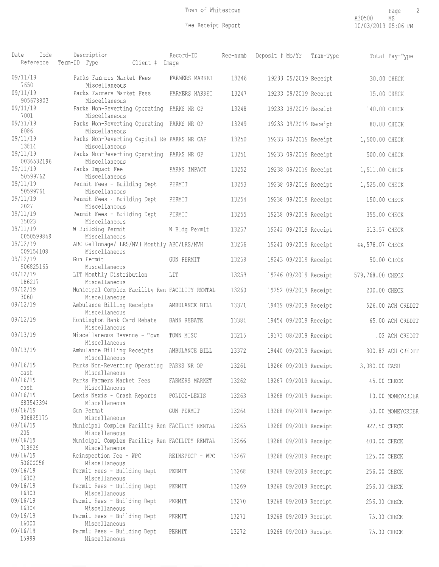| Date                  | Code<br>Reference | Description<br>Term-ID Type<br>Client #                                       | Record-ID<br>Imaqe | Rec-numb | Deposit # Mo/Yr       | Tran-Type             |                  | Total Pay-Type    |
|-----------------------|-------------------|-------------------------------------------------------------------------------|--------------------|----------|-----------------------|-----------------------|------------------|-------------------|
| 09/11/19<br>7650      |                   | Parks Farmers Market Fees<br>Miscellaneous                                    | FARMERS MARKET     | 13246    |                       | 19233 09/2019 Receipt |                  | 30.00 CHECK       |
| 09/11/19              | 905678803         | Parks Farmers Market Fees<br>Miscellaneous                                    | FARMERS MARKET     | 13247    |                       | 19233 09/2019 Receipt | 15.00 CHECK      |                   |
| 09/11/19<br>7001      |                   | Parks Non-Reverting Operating PARKS NR OP<br>Miscellaneous                    |                    | 13248    |                       | 19233 09/2019 Receipt | 140.00 CHECK     |                   |
| 09/11/19<br>8086      |                   | Parks Non-Reverting Operating PARKS NR OP                                     |                    | 13249    |                       | 19233 09/2019 Receipt | 80.00 CHECK      |                   |
| 09/11/19<br>13814     |                   | Miscellaneous<br>Parks Non-Reverting Capital Re PARKS NR CAP<br>Miscellaneous |                    | 13250    |                       | 19233 09/2019 Receipt | 1,500.00 CHECK   |                   |
| 09/11/19              | 0036532196        | Parks Non-Reverting Operating PARKS NR OP<br>Miscellaneous                    |                    | 13251    |                       | 19233 09/2019 Receipt | 500.00 CHECK     |                   |
| 09/11/19<br>50599762  |                   | Parks Impact Fee<br>Miscellaneous                                             | PARKS IMPACT       | 13252    |                       | 19238 09/2019 Receipt | 1,511.00 CHECK   |                   |
| 09/11/19<br>50599761  |                   | Permit Fees - Building Dept<br>Miscellaneous                                  | PERMIT             | 13253    |                       | 19238 09/2019 Receipt | 1,525.00 CHECK   |                   |
| 09/11/19<br>2027      |                   | Permit Fees - Building Dept<br>Miscellaneous                                  | PERMIT             | 13254    |                       | 19238 09/2019 Receipt | 150.00 CHECK     |                   |
| 09/11/19<br>35023     |                   | Permit Fees - Building Dept<br>Miscellaneous                                  | PERMIT             | 13255    |                       | 19238 09/2019 Receipt | 355.00 CHECK     |                   |
| 09/11/19              | 0050599849        | W Building Permit<br>Miscellaneous                                            | W Bldg Permit      | 13257    |                       | 19242 09/2019 Receipt | 313.57 CHECK     |                   |
| 09/12/19<br>009154108 |                   | ABC Gallonage/ LRS/MVH Monthly ABC/LRS/MVH<br>Miscellaneous                   |                    | 13256    |                       | 19241 09/2019 Receipt | 44,578.07 CHECK  |                   |
| 09/12/19<br>906825165 |                   | Gun Permit<br>Miscellaneous                                                   | GUN PERMIT         | 13258    |                       | 19243 09/2019 Receipt | 50.00 CHECK      |                   |
| 09/12/19<br>186217    |                   | LIT Monthly Distribution<br>Miscellaneous                                     | LIT                | 13259    |                       | 19246 09/2019 Receipt | 579,768.00 CHECK |                   |
| 09/12/19<br>3060      |                   | Municipal Complex Facility Ren FACILITY RENTAL<br>Miscellaneous               |                    | 13260    |                       | 19252 09/2019 Receipt | 200.00 CHECK     |                   |
| 09/12/19              |                   | Ambulance Billing Receipts<br>Miscellaneous                                   | AMBULANCE BILL     | 13371    |                       | 19439 09/2019 Receipt |                  | 526.00 ACH CREDIT |
| 09/12/19              |                   | Huntington Bank Card Rebate<br>Miscellaneous                                  | <b>BANK REBATE</b> | 13384    |                       | 19454 09/2019 Receipt |                  | 65.00 ACH CREDIT  |
| 09/13/19              |                   | Miscellaneous Revenue - Town<br>Miscellaneous                                 | TOWN MISC          | 13215    |                       | 19173 08/2019 Receipt |                  | .02 ACH CREDIT    |
| 09/13/19              |                   | Ambulance Billing Receipts<br>Miscellaneous                                   | AMBULANCE BILL     | 13372    |                       | 19440 09/2019 Receipt |                  | 300.82 ACH CREDIT |
| 09/16/19<br>cash      |                   | Parks Non-Reverting Operating PARKS NR OP<br>Miscellaneous                    |                    | 13261    | 19266 09/2019 Receipt |                       | 3,080.00 CASH    |                   |
| 09/16/19<br>cash      |                   | Parks Farmers Market Fees<br>Miscellaneous                                    | FARMERS MARKET     | 13262    | 19267 09/2019 Receipt |                       | 45.00 CHECK      |                   |
| 09/16/19<br>683543394 |                   | Lexis Nexis - Crash Reports<br>Miscellaneous                                  | POLICE-LEXIS       | 13263    |                       | 19268 09/2019 Receipt |                  | 10.00 MONEYORDER  |
| 09/16/19<br>906825175 |                   | Gun Permit<br>Miscellaneous                                                   | GUN PERMIT         | 13264    |                       | 19268 09/2019 Receipt |                  | 50.00 MONEYORDER  |
| 09/16/19<br>205       |                   | Municipal Complex Facility Ren FACILITY RENTAL<br>Miscellaneous               |                    | 13265    | 19268 09/2019 Receipt |                       | 927.50 CHECK     |                   |
| 09/16/19<br>018929    |                   | Municipal Complex Facility Ren FACILITY RENTAL<br>Miscellaneous               |                    | 13266    | 19268 09/2019 Receipt |                       | 400.00 CHECK     |                   |
| 09/16/19<br>50600058  |                   | Reinspection Fee - WPC<br>Miscellaneous                                       | REINSPECT - WPC    | 13267    | 19268 09/2019 Receipt |                       | 125.00 CHECK     |                   |
| 09/16/19<br>16302     |                   | Permit Fees - Building Dept<br>Miscellaneous                                  | PERMIT             | 13268    | 19268 09/2019 Receipt |                       | 256.00 CHECK     |                   |
| 09/16/19<br>16303     |                   | Permit Fees - Building Dept<br>Miscellaneous                                  | PERMIT             | 13269    | 19268 09/2019 Receipt |                       | 256.00 CHECK     |                   |
| 09/16/19<br>16304     |                   | Permit Fees - Building Dept<br>Miscellaneous                                  | PERMIT             | 13270    | 19268 09/2019 Receipt |                       | 256.00 CHECK     |                   |
| 09/16/19<br>16000     |                   | Permit Fees - Building Dept<br>Miscellaneous                                  | PERMIT             | 13271    | 19268 09/2019 Receipt |                       | 75.00 CHECK      |                   |
| 09/16/19<br>15999     |                   | Permit Fees - Building Dept<br>Miscellaneous                                  | PERMIT             | 13272    | 19268 09/2019 Receipt |                       | 75.00 CHECK      |                   |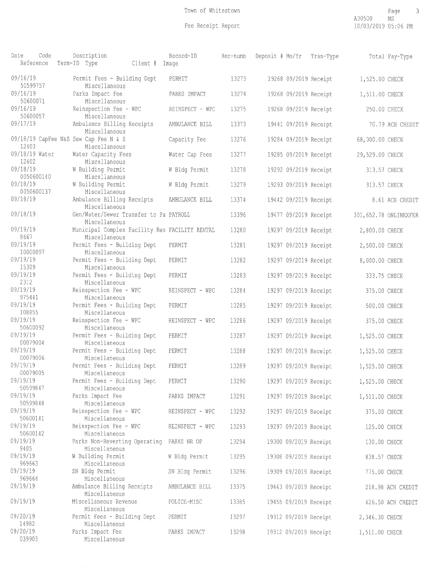| Date                        | Code<br>Reference | Description<br>Term-ID Type                                     | Client # | Record-ID<br>Image | Rec-numb | Deposit # Mo/Yr | Tran-Type             |                 | Total Pay-Type        |
|-----------------------------|-------------------|-----------------------------------------------------------------|----------|--------------------|----------|-----------------|-----------------------|-----------------|-----------------------|
| 09/16/19                    | 50599757          | Permit Fees - Building Dept<br>Miscellaneous                    |          | PERMIT             | 13273    |                 | 19268 09/2019 Receipt | 1,525.00 CHECK  |                       |
| 09/16/19<br>50600071        |                   | Parks Impact Fee<br>Miscellaneous                               |          | PARKS IMPACT       | 13274    |                 | 19268 09/2019 Receipt | 1,511.00 CHECK  |                       |
| 09/16/19                    |                   | Reinspection Fee - WPC                                          |          | REINSPECT - WPC    | 13275    |                 | 19268 09/2019 Receipt | 250.00 CHECK    |                       |
| 09/17/19                    | 50600057          | Miscellaneous<br>Ambulance Billing Receipts<br>Miscellaneous    |          | AMBULANCE BILL     | 13373    |                 | 19441 09/2019 Receipt |                 | 70.79 ACH CREDIT      |
| 12403                       |                   | 09/18/19 CapFee N&S Sew Cap Fee N & S<br>Miscellaneous          |          | Capacity Fee       | 13276    |                 | 19284 09/2019 Receipt | 68,000.00 CHECK |                       |
| 09/18/19 Water<br>12402     |                   | Water Capacity Fees<br>Miscellaneous                            |          | Water Cap Fees     | 13277    |                 | 19285 09/2019 Receipt | 29,529.00 CHECK |                       |
| 09/18/19                    | 0050600140        | W Building Permit<br>Miscellaneous                              |          | W Bldg Permit      | 13278    |                 | 19292 09/2019 Receipt | 313.57 CHECK    |                       |
| 09/18/19                    | 0050600137        | W Building Permit<br>Miscellaneous                              |          | W Bldg Permit      | 13279    |                 | 19293 09/2019 Receipt | 313.57 CHECK    |                       |
| 09/18/19                    |                   | Ambulance Billing Receipts<br>Miscellaneous                     |          | AMBULANCE BILL     | 13374    |                 | 19442 09/2019 Receipt |                 | 8.61 ACH CREDIT       |
| 09/18/19                    |                   | Gen/Water/Sewer Transfer to Pa PAYROLL<br>Miscellaneous         |          |                    | 13396    |                 | 19477 09/2019 Receipt |                 | 301,652.78 ONLINEXFER |
| 09/19/19<br>8667            |                   | Municipal Complex Facility Ren FACILITY RENTAL<br>Miscellaneous |          |                    | 13280    |                 | 19297 09/2019 Receipt | 2,800.00 CHECK  |                       |
| 09/19/19<br>10000097        |                   | Permit Fees - Building Dept                                     |          | PERMIT             | 13281    |                 | 19297 09/2019 Receipt | 2,500.00 CHECK  |                       |
| 09/19/19                    |                   | Miscellaneous<br>Permit Fees - Building Dept                    |          | PERMIT             | 13282    |                 | 19297 09/2019 Receipt | 8,000.00 CHECK  |                       |
| 15309<br>09/19/19<br>2312   |                   | Miscellaneous<br>Permit Fees - Building Dept<br>Miscellaneous   |          | PERMIT             | 13283    |                 | 19297 09/2019 Receipt | 333.75 CHECK    |                       |
| 09/19/19<br>975441          |                   | Reinspection Fee - WPC                                          |          | REINSPECT - WPC    | 13284    |                 | 19297 09/2019 Receipt | 375.00 CHECK    |                       |
| 09/19/19                    |                   | Miscellaneous<br>Permit Fees - Building Dept                    |          | PERMIT             | 13285    |                 | 19297 09/2019 Receipt | 500.00 CHECK    |                       |
| 108855<br>09/19/19          |                   | Miscellaneous<br>Reinspection Fee - WPC                         |          | REINSPECT - WPC    | 13286    |                 | 19297 09/2019 Receipt | 375.00 CHECK    |                       |
| 50600092<br>09/19/19        |                   | Miscellaneous<br>Permit Fees - Building Dept                    |          | PERMIT             | 13287    |                 | 19297 09/2019 Receipt | 1,525.00 CHECK  |                       |
| 00079004<br>09/19/19        |                   | Miscellaneous<br>Permit Fees - Building Dept                    |          | PERMIT             | 13288    |                 | 19297 09/2019 Receipt | 1,525.00 CHECK  |                       |
| 00079006<br>09/19/19        |                   | Miscellaneous<br>Permit Fees - Building Dept                    |          | PERMIT             | 13289    |                 | 19297 09/2019 Receipt | 1,525.00 CHECK  |                       |
| 00079005<br>09/19/19        |                   | Miscellaneous<br>Permit Fees - Building Dept                    |          | PERMIT             | 13290    |                 | 19297 09/2019 Receipt | 1,525.00 CHECK  |                       |
| 50599847<br>09/19/19        |                   | Miscellaneous<br>Parks Impact Fee                               |          | PARKS IMPACT       | 13291    |                 | 19297 09/2019 Receipt | 1,511.00 CHECK  |                       |
| 50599848<br>09/19/19        |                   | Miscellaneous<br>Reinspection Fee - WPC                         |          | REINSPECT - WPC    | 13292    |                 | 19297 09/2019 Receipt | 375.00 CHECK    |                       |
| 50600141<br>09/19/19        |                   | Miscellaneous<br>Reinspection Fee - WPC                         |          | REINSPECT - WPC    | 13293    |                 | 19297 09/2019 Receipt |                 |                       |
| 50600142                    |                   | Miscellaneous                                                   |          |                    |          |                 |                       | 125.00 CHECK    |                       |
| 09/19/19<br>9405            |                   | Parks Non-Reverting Operating<br>Miscellaneous                  |          | PARKS NR OP        | 13294    |                 | 19300 09/2019 Receipt | 130.00 CHECK    |                       |
| 09/19/19<br>969663          |                   | W Building Permit<br>Miscellaneous                              |          | W Bldg Permit      | 13295    |                 | 19308 09/2019 Receipt | 838.57 CHECK    |                       |
| 09/19/19<br>969664          |                   | SN Bldg Permit                                                  |          | SN Bldg Permit     | 13296    |                 | 19309 09/2019 Receipt | 775.00 CHECK    |                       |
| 09/19/19                    |                   | Miscellaneous<br>Ambulance Billing Receipts                     |          | AMBULANCE BILL     | 13375    |                 | 19443 09/2019 Receipt |                 | 218.98 ACH CREDIT     |
| 09/19/19                    |                   | Miscellaneous<br>Miscellaneous Revenue<br>Miscellaneous         |          | POLICE-MISC        | 13385    |                 | 19455 09/2019 Receipt |                 | 426.50 ACH CREDIT     |
| 09/20/19                    |                   | Permit Fees - Building Dept                                     |          | PERMIT             | 13297    |                 | 19312 09/2019 Receipt | 2,346.30 CHECK  |                       |
| 14982<br>09/20/19<br>039903 |                   | Miscellaneous<br>Parks Impact Fee<br>Miscellaneous              |          | PARKS IMPACT       | 13298    |                 | 19312 09/2019 Receipt | 1,511.00 CHECK  |                       |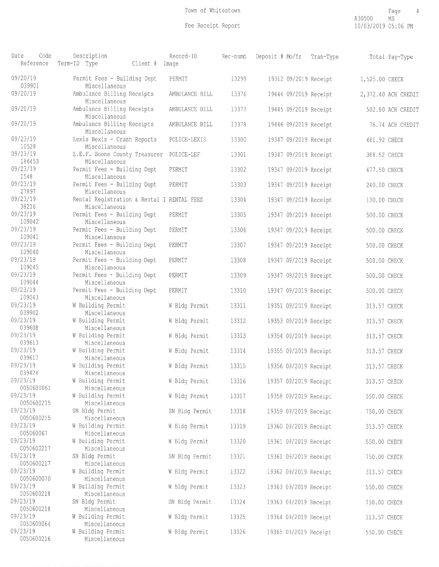| Date<br>Code<br>Reference            | Description<br>Term-ID Type<br>Client #                           | Record-ID<br>Image             | Rec-numb       | Deposit # Mo/Yr                                | Tran-Type | Total Pay-Type               |
|--------------------------------------|-------------------------------------------------------------------|--------------------------------|----------------|------------------------------------------------|-----------|------------------------------|
| 09/20/19<br>039901                   | Permit Fees - Building Dept<br>Miscellaneous                      | PERMIT                         | 13299          | 19312 09/2019 Receipt                          |           | 1,525.00 CHECK               |
| 09/20/19                             | Ambulance Billing Receipts<br>Miscellaneous                       | AMBULANCE BILL                 | 13376          | 19444 09/2019 Receipt                          |           | 2,372.40 ACH CREDIT          |
| 09/20/19                             | Ambulance Billing Receipts<br>Miscellaneous                       | AMBULANCE BILL                 | 13377          | 19445 09/2019 Receipt                          |           | 502.80 ACH CREDIT            |
| 09/20/19                             | Ambulance Billing Receipts<br>Miscellaneous                       | AMBULANCE BILL                 | 13378          | 19446 09/2019 Receipt                          |           | 76.74 ACH CREDIT             |
| 09/23/19<br>10528                    | Lexis Nexis - Crash Reports<br>Miscellaneous                      | POLICE-LEXIS                   | 13300          | 19347 09/2019 Receipt                          |           | 481.92 CHECK                 |
| 09/23/19<br>186453                   | L.E.F. Boone County Treasurer<br>Miscellaneous                    | POLICE-LEF                     | 13301          | 19347 09/2019 Receipt                          |           | 388.52 CHECK                 |
| 09/23/19<br>1548                     | Permit Fees - Building Dept<br>Miscellaneous                      | PERMIT                         | 13302          | 19347 09/2019 Receipt                          |           | 477.50 CHECK                 |
| 09/23/19<br>27897                    | Permit Fees - Building Dept<br>Miscellaneous                      | PERMIT                         | 13303          | 19347 09/2019 Receipt                          |           | 240.00 CHECK                 |
| 09/23/19<br>38216                    | Rental Registration & Rental I RENTAL FEES<br>Miscellaneous       |                                | 13304          | 19347 09/2019 Receipt                          |           | 130.00 CHECK                 |
| 09/23/19<br>109042                   | Permit Fees - Building Dept<br>Miscellaneous                      | PERMIT                         | 13305          | 19347 09/2019 Receipt                          |           | 500.00 CHECK                 |
| 09/23/19<br>109041                   | Permit Fees - Building Dept<br>Miscellaneous                      | PERMIT                         | 13306          | 19347 09/2019 Receipt                          |           | 500.00 CHECK                 |
| 09/23/19<br>109040                   | Permit Fees - Building Dept<br>Miscellaneous                      | PERMIT                         | 13307          | 19347 09/2019 Receipt                          |           | 500.00 CHECK                 |
| 09/23/19<br>109045                   | Permit Fees - Building Dept<br>Miscellaneous                      | PERMIT                         | 13308          | 19347 09/2019 Receipt                          |           | 500.00 CHECK                 |
| 09/23/19<br>109044<br>09/23/19       | Permit Fees - Building Dept<br>Miscellaneous                      | PERMIT                         | 13309          | 19347 09/2019 Receipt                          |           | 500.00 CHECK                 |
| 109043<br>09/23/19                   | Permit Fees - Building Dept<br>Miscellaneous<br>W Building Permit | PERMIT                         | 13310          | 19347 09/2019 Receipt                          |           | 500.00 CHECK                 |
| 039902<br>09/23/19                   | Miscellaneous<br>W Building Permit                                | W Bldg Permit<br>W Bldg Permit | 13311<br>13312 | 19351 09/2019 Receipt<br>19353 09/2019 Receipt |           | 313.57 CHECK<br>313.57 CHECK |
| 039608<br>09/23/19                   | Miscellaneous<br>W Building Permit                                | W Bldg Permit                  | 13313          | 19354 09/2019 Receipt                          |           | 313.57 CHECK                 |
| 039613<br>09/23/19                   | Miscellaneous<br>W Building Permit                                | W Bldg Permit                  | 13314          | 19355 09/2019 Receipt                          |           | 313.57 CHECK                 |
| 039617<br>09/23/19                   | Miscellaneous<br>W Building Permit                                | W Bldg Permit                  | 13315          | 19356 09/2019 Receipt                          |           | 313.57 CHECK                 |
| 039424<br>09/23/19                   | Miscellaneous<br>W Building Permit                                | W Bldg Permit                  | 13316          | 19357 09/2019 Receipt                          |           | 313.57 CHECK                 |
| 0050600061<br>09/23/19               | Miscellaneous<br>W Building Permit                                | W Bldg Permit                  | 13317          | 19358 09/2019 Receipt                          |           | 550.00 CHECK                 |
| 0050600215<br>09/23/19               | Miscellaneous<br>SN Bldg Permit                                   | SN Bldg Permit                 | 13318          | 19359 09/2019 Receipt                          |           | 750.00 CHECK                 |
| 0050600215<br>09/23/19               | Miscellaneous<br>W Building Permit                                | W Bldg Permit                  | 13319          | 19360 09/2019 Receipt                          |           | 313.57 CHECK                 |
| 005060067<br>09/23/19                | Miscellaneous<br>W Building Permit                                | W Bldg Permit                  | 13320          | 19361 09/2019 Receipt                          |           | 550.00 CHECK                 |
| 0050600217<br>09/23/19               | Miscellaneous<br>SN Bldg Permit                                   | SN Bldg Permit                 | 13321          | 19361 09/2019 Receipt                          |           | 750.00 CHECK                 |
| 0050600217<br>09/23/19               | Miscellaneous<br>W Building Permit                                | W Bldg Permit                  | 13322          | 19362 09/2019 Receipt                          |           | 313.57 CHECK                 |
| 0050600070<br>09/23/19               | Miscellaneous<br>W Building Permit                                | W Bldg Permit                  | 13323          | 19363 09/2019 Receipt                          |           | 550.00 CHECK                 |
| 0050600218<br>09/23/19               | Miscellaneous<br>SN Bldg Permit                                   | SN Bldg Permit                 | 13324          | 19363 09/2019 Receipt                          |           | 750.00 CHECK                 |
| 0050600218<br>09/23/19               | Miscellaneous<br>W Building Permit                                | W Bldg Permit                  | 13325          | 19364 09/2019 Receipt                          |           | 313.57 CHECK                 |
| 0050600064<br>09/23/19<br>0050600216 | Miscellaneous<br>W Building Permit<br>Miscellaneous               | W Bldg Permit                  | 13326          | 19365 09/2019 Receipt                          |           | 550.00 CHECK                 |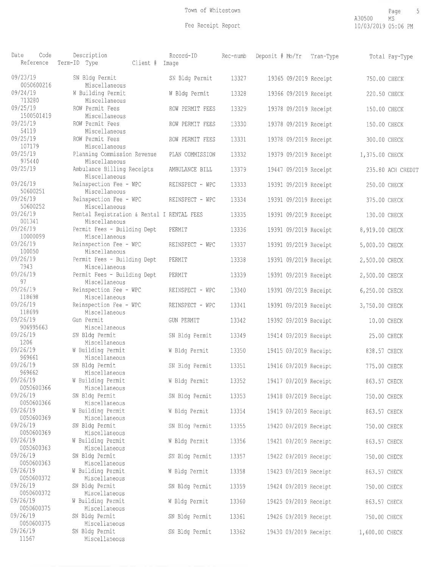| Date<br>Code<br>Reference | Description<br>Term-ID Type<br>Client # Image               | Record-ID         | Rec-numb | Deposit # Mo/Yr       | Tran-Type |                | Total Pay-Type    |
|---------------------------|-------------------------------------------------------------|-------------------|----------|-----------------------|-----------|----------------|-------------------|
| 09/23/19<br>0050600216    | SN Bldg Permit<br>Miscellaneous                             | SN Bldg Permit    | 13327    | 19365 09/2019 Receipt |           | 750.00 CHECK   |                   |
| 09/24/19<br>713280        | W Building Permit<br>Miscellaneous                          | W Bldg Permit     | 13328    | 19366 09/2019 Receipt |           | 220.50 CHECK   |                   |
| 09/25/19<br>1500501419    | ROW Permit Fees<br>Miscellaneous                            | ROW PERMIT FEES   | 13329    | 19378 09/2019 Receipt |           | 150.00 CHECK   |                   |
| 09/25/19<br>54119         | ROW Permit Fees<br>Miscellaneous                            | ROW PERMIT FEES   | 13330    | 19378 09/2019 Receipt |           | 150.00 CHECK   |                   |
| 09/25/19<br>107179        | ROW Permit Fees<br>Miscellaneous                            | ROW PERMIT FEES   | 13331    | 19378 09/2019 Receipt |           | 300.00 CHECK   |                   |
| 09/25/19<br>975440        | Planning Commission Revenue<br>Miscellaneous                | PLAN COMMISSION   | 13332    | 19379 09/2019 Receipt |           | 1,375.00 CHECK |                   |
| 09/25/19                  | Ambulance Billing Receipts<br>Miscellaneous                 | AMBULANCE BILL    | 13379    | 19447 09/2019 Receipt |           |                | 235.80 ACH CREDIT |
| 09/26/19<br>50600251      | Reinspection Fee - WPC<br>Miscellaneous                     | REINSPECT - WPC   | 13333    | 19391 09/2019 Receipt |           | 250.00 CHECK   |                   |
| 09/26/19<br>50600252      | Reinspection Fee - WPC<br>Miscellaneous                     | REINSPECT - WPC   | 13334    | 19391 09/2019 Receipt |           | 375.00 CHECK   |                   |
| 09/26/19<br>001341        | Rental Registration & Rental I RENTAL FEES<br>Miscellaneous |                   | 13335    | 19391 09/2019 Receipt |           | 130.00 CHECK   |                   |
| 09/26/19<br>10000099      | Permit Fees - Building Dept<br>Miscellaneous                | PERMIT            | 13336    | 19391 09/2019 Receipt |           | 8,919.00 CHECK |                   |
| 09/26/19<br>100050        | Reinspection Fee - WPC<br>Miscellaneous                     | REINSPECT - WPC   | 13337    | 19391 09/2019 Receipt |           | 5,000.00 CHECK |                   |
| 09/26/19<br>7943          | Permit Fees - Building Dept<br>Miscellaneous                | PERMIT            | 13338    | 19391 09/2019 Receipt |           | 2,500.00 CHECK |                   |
| 09/26/19<br>97            | Permit Fees - Building Dept<br>Miscellaneous                | PERMIT            | 13339    | 19391 09/2019 Receipt |           | 2,500.00 CHECK |                   |
| 09/26/19<br>118698        | Reinspection Fee - WPC<br>Miscellaneous                     | REINSPECT - WPC   | 13340    | 19391 09/2019 Receipt |           | 6,250.00 CHECK |                   |
| 09/26/19<br>118699        | Reinspection Fee - WPC<br>Miscellaneous                     | REINSPECT - WPC   | 13341    | 19391 09/2019 Receipt |           | 3,750.00 CHECK |                   |
| 09/26/19<br>906995663     | Gun Permit<br>Miscellaneous                                 | <b>GUN PERMIT</b> | 13342    | 19392 09/2019 Receipt |           | 10.00 CHECK    |                   |
| 09/26/19<br>1206          | SN Bldg Permit<br>Miscellaneous                             | SN Bldg Permit    | 13349    | 19414 09/2019 Receipt |           | 25.00 CHECK    |                   |
| 09/26/19<br>969661        | W Building Permit<br>Miscellaneous                          | W Bldg Permit     | 13350    | 19415 09/2019 Receipt |           | 838.57 CHECK   |                   |
| 09/26/19<br>969662        | SN Bldg Permit<br>Miscellaneous                             | SN Bldg Permit    | 13351    | 19416 09/2019 Receipt |           | 775.00 CHECK   |                   |
| 09/26/19<br>0050600366    | W Building Permit<br>Miscellaneous                          | W Bldg Permit     | 13352    | 19417 09/2019 Receipt |           | 863.57 CHECK   |                   |
| 09/26/19<br>0050600366    | SN Bldg Permit<br>Miscellaneous                             | SN Bldg Permit    | 13353    | 19418 09/2019 Receipt |           | 750.00 CHECK   |                   |
| 09/26/19<br>0050600369    | W Building Permit<br>Miscellaneous                          | W Bldg Permit     | 13354    | 19419 09/2019 Receipt |           | 863.57 CHECK   |                   |
| 09/26/19<br>0050600369    | SN Bldg Permit<br>Miscellaneous                             | SN Bldg Permit    | 13355    | 19420 09/2019 Receipt |           | 750.00 CHECK   |                   |
| 09/26/19<br>0050600363    | W Building Permit<br>Miscellaneous                          | W Bldg Permit     | 13356    | 19421 09/2019 Receipt |           | 863.57 CHECK   |                   |
| 09/26/19<br>0050600363    | SN Bldg Permit<br>Miscellaneous                             | SN Bldg Permit    | 13357    | 19422 09/2019 Receipt |           | 750.00 CHECK   |                   |
| 09/26/19<br>0050600372    | W Building Permit<br>Miscellaneous                          | W Bldg Permit     | 13358    | 19423 09/2019 Receipt |           | 863.57 CHECK   |                   |
| 09/26/19<br>0050600372    | SN Bldg Permit<br>Miscellaneous                             | SN Bldg Permit    | 13359    | 19424 09/2019 Receipt |           | 750.00 CHECK   |                   |
| 09/26/19<br>0050600375    | W Building Permit<br>Miscellaneous                          | W Bldg Permit     | 13360    | 19425 09/2019 Receipt |           | 863.57 CHECK   |                   |
| 09/26/19<br>0050600375    | SN Bldg Permit<br>Miscellaneous                             | SN Bldg Permit    | 13361    | 19426 09/2019 Receipt |           | 750.00 CHECK   |                   |
| 09/26/19<br>11567         | SN Bldg Permit<br>Miscellaneous                             | SN Bldg Permit    | 13362    | 19430 09/2019 Receipt |           | 1,600.00 CHECK |                   |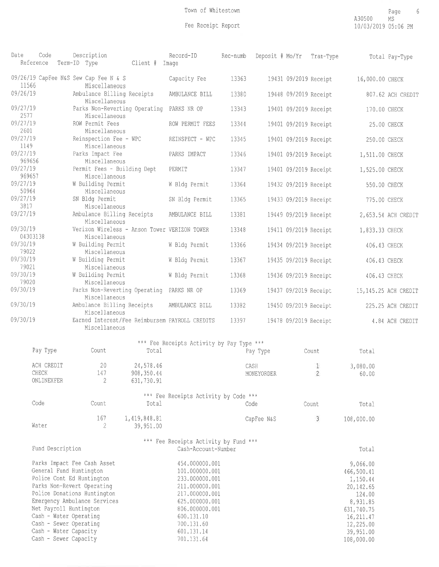| Date                 | Code<br>Reference                                                                                                                                       |  | Description<br>Term-ID Type                                                                                                                           | Client # Image                         | Record-ID                                                                                                                                                                            | Rec-numb |                    |                       | Deposit # Mo/Yr Tran-Type      |                                                                                                                                            | Total Pay-Type       |
|----------------------|---------------------------------------------------------------------------------------------------------------------------------------------------------|--|-------------------------------------------------------------------------------------------------------------------------------------------------------|----------------------------------------|--------------------------------------------------------------------------------------------------------------------------------------------------------------------------------------|----------|--------------------|-----------------------|--------------------------------|--------------------------------------------------------------------------------------------------------------------------------------------|----------------------|
| 11566                |                                                                                                                                                         |  | 09/26/19 CapFee N&S Sew Cap Fee N & S<br>Miscellaneous                                                                                                |                                        | Capacity Fee                                                                                                                                                                         | 13363    |                    | 19431 09/2019 Receipt |                                | 16,000.00 CHECK                                                                                                                            |                      |
| 09/26/19             |                                                                                                                                                         |  | Ambulance Billing Receipts                                                                                                                            |                                        | AMBULANCE BILL                                                                                                                                                                       | 13380    |                    | 19448 09/2019 Receipt |                                |                                                                                                                                            | 807.62 ACH CREDIT    |
| 09/27/19<br>2577     |                                                                                                                                                         |  | Miscellaneous<br>Parks Non-Reverting Operating<br>Miscellaneous                                                                                       |                                        | PARKS NR OP                                                                                                                                                                          | 13343    |                    | 19401 09/2019 Receipt |                                | 170.00 CHECK                                                                                                                               |                      |
| 09/27/19<br>2601     |                                                                                                                                                         |  | ROW Permit Fees                                                                                                                                       |                                        | ROW PERMIT FEES                                                                                                                                                                      | 13344    |                    | 19401 09/2019 Receipt |                                |                                                                                                                                            | 25.00 CHECK          |
| 09/27/19<br>1149     |                                                                                                                                                         |  | Miscellaneous<br>Reinspection Fee - WPC<br>Miscellaneous                                                                                              |                                        | REINSPECT - WPC                                                                                                                                                                      | 13345    |                    | 19401 09/2019 Receipt |                                | 250.00 CHECK                                                                                                                               |                      |
| 09/27/19             |                                                                                                                                                         |  | Parks Impact Fee                                                                                                                                      |                                        | PARKS IMPACT                                                                                                                                                                         | 13346    |                    | 19401 09/2019 Receipt |                                | 1,511.00 CHECK                                                                                                                             |                      |
| 969656<br>09/27/19   |                                                                                                                                                         |  | Miscellaneous<br>Permit Fees - Building Dept                                                                                                          |                                        | PERMIT                                                                                                                                                                               | 13347    |                    | 19401 09/2019 Receipt |                                | 1,525.00 CHECK                                                                                                                             |                      |
| 969657<br>09/27/19   |                                                                                                                                                         |  | Miscellaneous<br>W Building Permit                                                                                                                    |                                        | W Bldg Permit                                                                                                                                                                        | 13364    |                    | 19432 09/2019 Receipt |                                | 550.00 CHECK                                                                                                                               |                      |
| 50964<br>09/27/19    |                                                                                                                                                         |  | Miscellaneous<br>SN Bldg Permit                                                                                                                       |                                        | SN Bldg Permit                                                                                                                                                                       | 13365    |                    | 19433 09/2019 Receipt |                                | 775.00 CHECK                                                                                                                               |                      |
| 3817<br>09/27/19     |                                                                                                                                                         |  | Miscellaneous<br>Ambulance Billing Receipts                                                                                                           |                                        | AMBULANCE BILL                                                                                                                                                                       | 13381    |                    | 19449 09/2019 Receipt |                                |                                                                                                                                            | 2,653.54 ACH CREDIT  |
| 09/30/19             |                                                                                                                                                         |  | Miscellaneous<br>Verizon Wireless - Anson Tower VERIZON TOWER                                                                                         |                                        |                                                                                                                                                                                      | 13348    |                    | 19411 09/2019 Receipt |                                | 1,833.33 CHECK                                                                                                                             |                      |
| 04303138<br>09/30/19 |                                                                                                                                                         |  | Miscellaneous<br>W Building Permit                                                                                                                    |                                        | W Bldg Permit                                                                                                                                                                        | 13366    |                    | 19434 09/2019 Receipt |                                | 406.43 CHECK                                                                                                                               |                      |
| 79022<br>09/30/19    |                                                                                                                                                         |  | Miscellaneous                                                                                                                                         |                                        |                                                                                                                                                                                      |          |                    |                       |                                |                                                                                                                                            |                      |
| 79021                |                                                                                                                                                         |  | W Building Permit<br>Miscellaneous                                                                                                                    |                                        | W Bldg Permit                                                                                                                                                                        | 13367    |                    | 19435 09/2019 Receipt |                                | 406.43 CHECK                                                                                                                               |                      |
| 09/30/19<br>79020    |                                                                                                                                                         |  | W Building Permit<br>Miscellaneous                                                                                                                    |                                        | W Bldg Permit                                                                                                                                                                        | 13368    |                    | 19436 09/2019 Receipt |                                | 406.43 CHECK                                                                                                                               |                      |
| 09/30/19             |                                                                                                                                                         |  | Parks Non-Reverting Operating<br>Miscellaneous                                                                                                        |                                        | PARKS NR OP                                                                                                                                                                          | 13369    |                    | 19437 09/2019 Receipt |                                |                                                                                                                                            | 15,145.25 ACH CREDIT |
| 09/30/19             |                                                                                                                                                         |  | Ambulance Billing Receipts<br>Miscellaneous                                                                                                           |                                        | AMBULANCE BILL                                                                                                                                                                       | 13382    |                    | 19450 09/2019 Receipt |                                |                                                                                                                                            | 225.25 ACH CREDIT    |
| 09/30/19             |                                                                                                                                                         |  | Miscellaneous                                                                                                                                         |                                        | Earned Interest/Fee Reimbursem PAYROLL CREDITS                                                                                                                                       | 13397    |                    | 19478 09/2019 Receipt |                                |                                                                                                                                            | 4.84 ACH CREDIT      |
|                      |                                                                                                                                                         |  |                                                                                                                                                       |                                        | *** Fee Receipts Activity by Pay Type ***                                                                                                                                            |          |                    |                       |                                |                                                                                                                                            |                      |
|                      | Pay Type                                                                                                                                                |  | Count                                                                                                                                                 | Total                                  |                                                                                                                                                                                      |          | Pay Type           |                       | Count                          | Total                                                                                                                                      |                      |
|                      | ACH CREDIT<br>CHECK<br>ONLINEXFER                                                                                                                       |  | 20<br>147<br>2                                                                                                                                        | 24,578.46<br>908, 350.44<br>631,730.91 |                                                                                                                                                                                      |          | CASH<br>MONEYORDER |                       | $\mathbf{1}$<br>$\overline{c}$ | 3,080.00<br>60.00                                                                                                                          |                      |
|                      |                                                                                                                                                         |  |                                                                                                                                                       |                                        |                                                                                                                                                                                      |          |                    |                       |                                |                                                                                                                                            |                      |
|                      | Code                                                                                                                                                    |  | Count                                                                                                                                                 | Total                                  | *** Fee Receipts Activity by Code ***                                                                                                                                                |          | Code               |                       | Count                          | Total                                                                                                                                      |                      |
|                      | Water                                                                                                                                                   |  | 167<br>2                                                                                                                                              | 1,419,848.81<br>39,951.00              |                                                                                                                                                                                      |          | CapFee N&S         |                       | 3                              | 108,000.00                                                                                                                                 |                      |
|                      | Fund Description                                                                                                                                        |  |                                                                                                                                                       |                                        | *** Fee Receipts Activity by Fund ***<br>Cash-Account-Number                                                                                                                         |          |                    |                       |                                | Total                                                                                                                                      |                      |
|                      | General Fund Huntington<br>Net Payroll Huntington<br>Cash - Water Operating<br>Cash - Sewer Operating<br>Cash - Water Capacity<br>Cash - Sewer Capacity |  | Parks Impact Fee Cash Asset<br>Police Cont Ed Huntington<br>Parks Non-Revert Operating<br>Police Donations Huntington<br>Emergency Ambulance Services |                                        | 454.000000.001<br>101.000000.001<br>233.000000.001<br>211.000000.001<br>217,000000.001<br>625,000000.001<br>806.000000.001<br>600.131.10<br>700.131.60<br>601, 131, 14<br>701.131.64 |          |                    |                       |                                | 9,066.00<br>466,500.41<br>1,150.44<br>20,142.65<br>124.00<br>8,931.85<br>631,740.75<br>16, 211.47<br>12, 225.00<br>39,951.00<br>108,000.00 |                      |